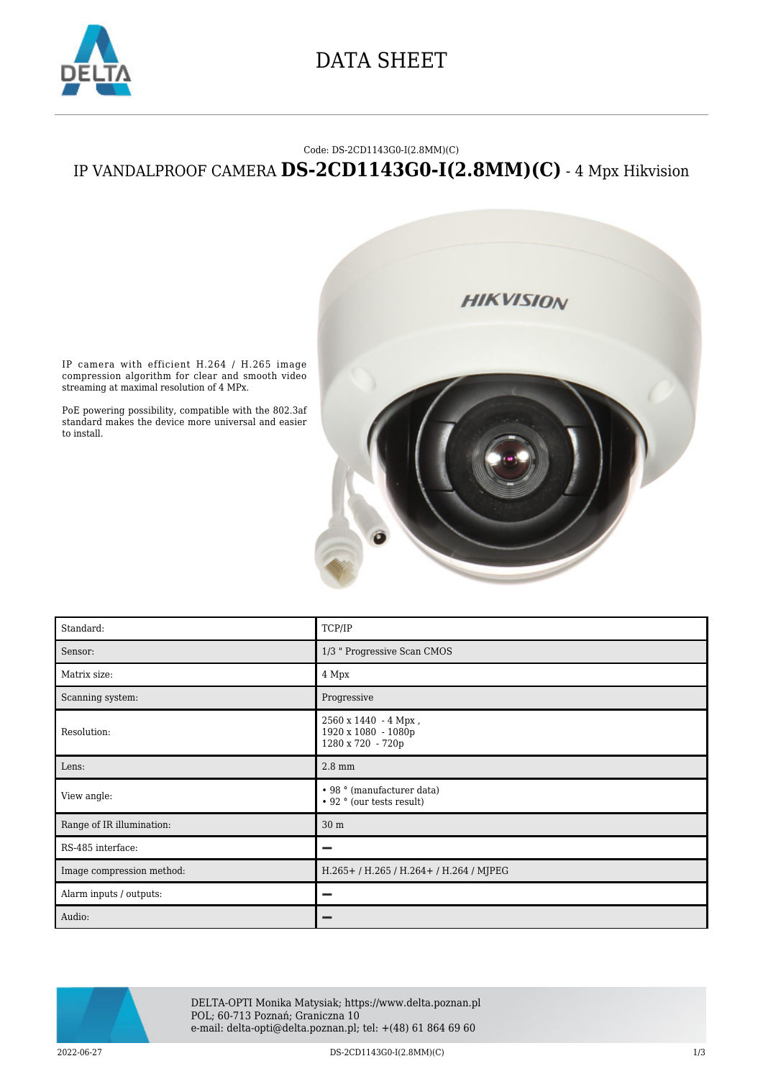

## DATA SHEET

#### Code: DS-2CD1143G0-I(2.8MM)(C)

### IP VANDALPROOF CAMERA **DS-2CD1143G0-I(2.8MM)(C)** - 4 Mpx Hikvision



IP camera with efficient H.264 / H.265 image compression algorithm for clear and smooth video streaming at maximal resolution of 4 MPx.

PoE powering possibility, compatible with the 802.3af standard makes the device more universal and easier to install.

| Standard:                 | TCP/IP                                                           |
|---------------------------|------------------------------------------------------------------|
| Sensor:                   | 1/3 " Progressive Scan CMOS                                      |
| Matrix size:              | 4 Mpx                                                            |
| Scanning system:          | Progressive                                                      |
| Resolution:               | 2560 x 1440 - 4 Mpx,<br>1920 x 1080 - 1080p<br>1280 x 720 - 720p |
| Lens:                     | $2.8 \text{ mm}$                                                 |
| View angle:               | • 98 ° (manufacturer data)<br>• 92 ° (our tests result)          |
| Range of IR illumination: | 30 m                                                             |
| RS-485 interface:         | -                                                                |
| Image compression method: | H.265+/H.265/H.264+/H.264/MJPEG                                  |
| Alarm inputs / outputs:   |                                                                  |
| Audio:                    |                                                                  |

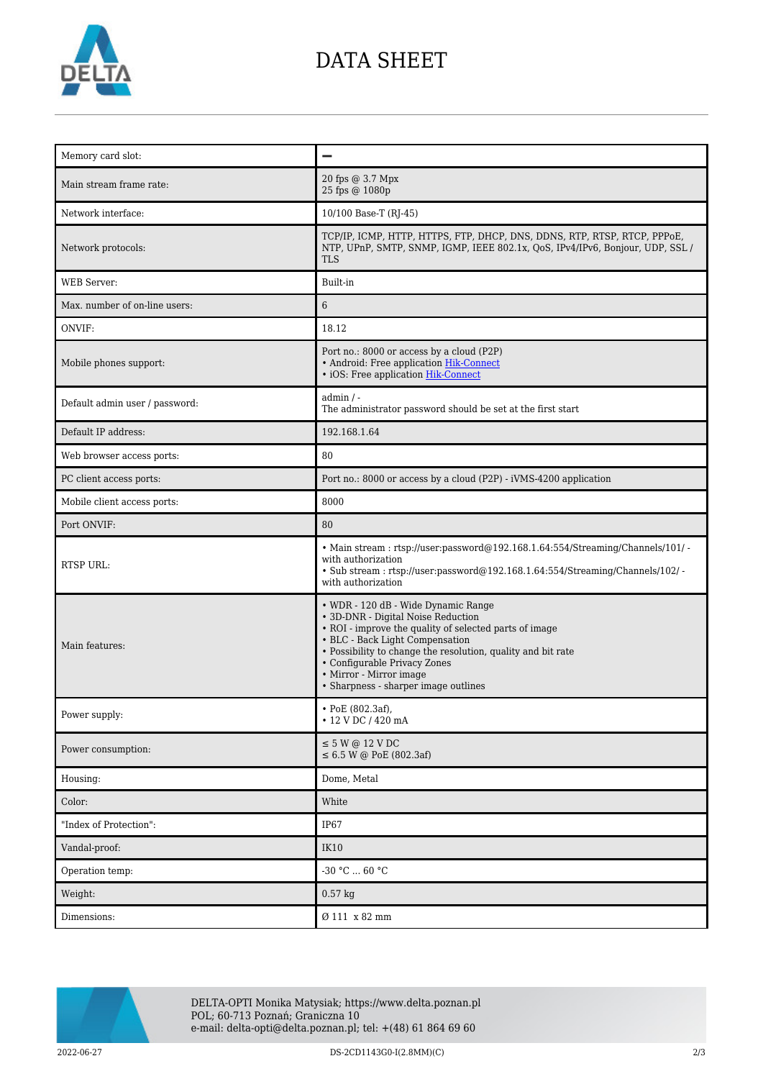

# DATA SHEET

| Memory card slot:              |                                                                                                                                                                                                                                                                                                                                           |
|--------------------------------|-------------------------------------------------------------------------------------------------------------------------------------------------------------------------------------------------------------------------------------------------------------------------------------------------------------------------------------------|
| Main stream frame rate:        | 20 fps @ 3.7 Mpx<br>25 fps @ 1080p                                                                                                                                                                                                                                                                                                        |
| Network interface:             | 10/100 Base-T (RJ-45)                                                                                                                                                                                                                                                                                                                     |
| Network protocols:             | TCP/IP, ICMP, HTTP, HTTPS, FTP, DHCP, DNS, DDNS, RTP, RTSP, RTCP, PPPoE,<br>NTP, UPnP, SMTP, SNMP, IGMP, IEEE 802.1x, QoS, IPv4/IPv6, Bonjour, UDP, SSL /<br><b>TLS</b>                                                                                                                                                                   |
| <b>WEB</b> Server:             | Built-in                                                                                                                                                                                                                                                                                                                                  |
| Max, number of on-line users:  | 6                                                                                                                                                                                                                                                                                                                                         |
| ONVIF:                         | 18.12                                                                                                                                                                                                                                                                                                                                     |
| Mobile phones support:         | Port no.: 8000 or access by a cloud (P2P)<br>• Android: Free application Hik-Connect<br>• iOS: Free application Hik-Connect                                                                                                                                                                                                               |
| Default admin user / password: | $admin / -$<br>The administrator password should be set at the first start                                                                                                                                                                                                                                                                |
| Default IP address:            | 192.168.1.64                                                                                                                                                                                                                                                                                                                              |
| Web browser access ports:      | 80                                                                                                                                                                                                                                                                                                                                        |
| PC client access ports:        | Port no.: 8000 or access by a cloud (P2P) - iVMS-4200 application                                                                                                                                                                                                                                                                         |
| Mobile client access ports:    | 8000                                                                                                                                                                                                                                                                                                                                      |
| Port ONVIF:                    | 80                                                                                                                                                                                                                                                                                                                                        |
| <b>RTSP URL:</b>               | • Main stream: rtsp://user:password@192.168.1.64:554/Streaming/Channels/101/ -<br>with authorization<br>$\bullet$ Sub stream : rtsp://user:password@192.168.1.64:554/Streaming/Channels/102/ -<br>with authorization                                                                                                                      |
| Main features:                 | • WDR - 120 dB - Wide Dynamic Range<br>• 3D-DNR - Digital Noise Reduction<br>• ROI - improve the quality of selected parts of image<br>• BLC - Back Light Compensation<br>• Possibility to change the resolution, quality and bit rate<br>• Configurable Privacy Zones<br>• Mirror - Mirror image<br>• Sharpness - sharper image outlines |
| Power supply:                  | • PoE (802.3af),<br>• 12 V DC / 420 mA                                                                                                                                                                                                                                                                                                    |
| Power consumption:             | $\leq$ 5 W @ 12 V DC<br>$\leq 6.5$ W @ PoE (802.3af)                                                                                                                                                                                                                                                                                      |
| Housing:                       | Dome, Metal                                                                                                                                                                                                                                                                                                                               |
| Color:                         | White                                                                                                                                                                                                                                                                                                                                     |
| "Index of Protection":         | IP <sub>67</sub>                                                                                                                                                                                                                                                                                                                          |
| Vandal-proof:                  | <b>IK10</b>                                                                                                                                                                                                                                                                                                                               |
| Operation temp:                | $-30$ °C $\ldots$ 60 °C                                                                                                                                                                                                                                                                                                                   |
| Weight:                        | $0.57$ kg                                                                                                                                                                                                                                                                                                                                 |
| Dimensions:                    | Ø 111 x 82 mm                                                                                                                                                                                                                                                                                                                             |